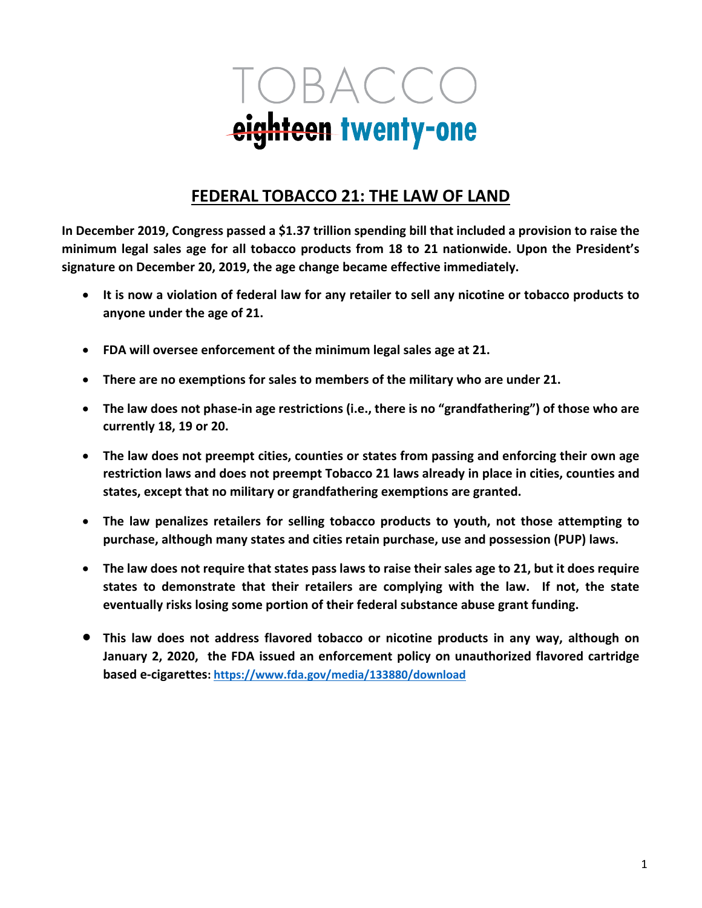

# **FEDERAL TOBACCO 21: THE LAW OF LAND**

**In December 2019, Congress passed a \$1.37 trillion spending bill that included a provision to raise the minimum legal sales age for all tobacco products from 18 to 21 nationwide. Upon the President's signature on December 20, 2019, the age change became effective immediately.**

- **It is now a violation of federal law for any retailer to sell any nicotine or tobacco products to anyone under the age of 21.**
- **FDA will oversee enforcement of the minimum legal sales age at 21.**
- **There are no exemptions for sales to members of the military who are under 21.**
- **The law does not phase-in age restrictions (i.e., there is no "grandfathering") of those who are currently 18, 19 or 20.**
- **The law does not preempt cities, counties or states from passing and enforcing their own age restriction laws and does not preempt Tobacco 21 laws already in place in cities, counties and states, except that no military or grandfathering exemptions are granted.**
- **The law penalizes retailers for selling tobacco products to youth, not those attempting to purchase, although many states and cities retain purchase, use and possession (PUP) laws.**
- **The law does not require that states pass laws to raise their sales age to 21, but it does require states to demonstrate that their retailers are complying with the law. If not, the state eventually risks losing some portion of their federal substance abuse grant funding.**
- **This law does not address flavored tobacco or nicotine products in any way, although on January 2, 2020, the FDA issued an enforcement policy on unauthorized flavored cartridge based e-cigarettes: https://www.fda.gov/media/133880/download**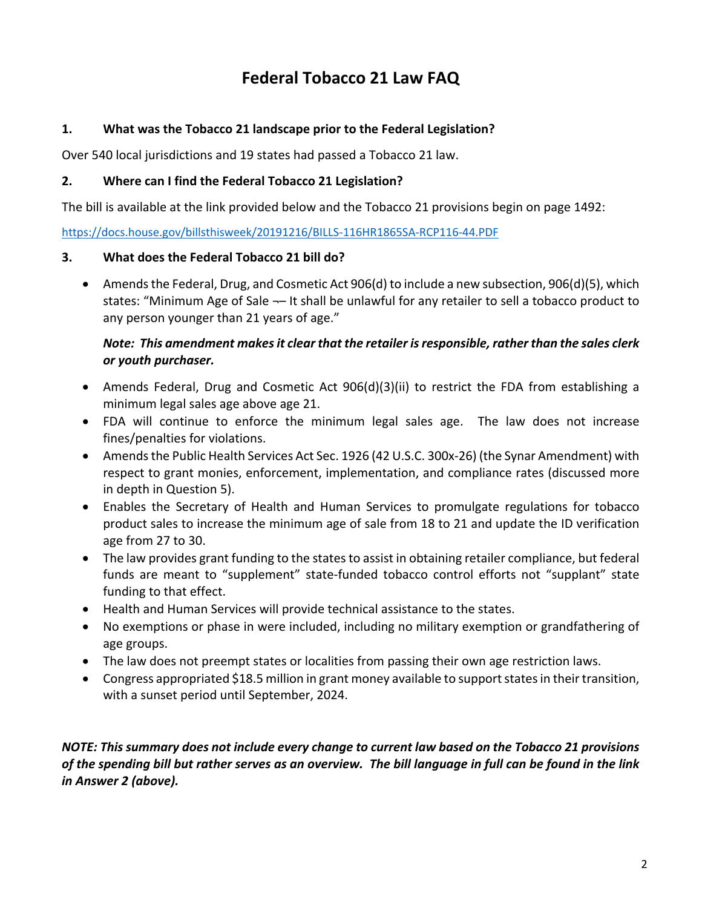# **Federal Tobacco 21 Law FAQ**

## **1. What was the Tobacco 21 landscape prior to the Federal Legislation?**

Over 540 local jurisdictions and 19 states had passed a Tobacco 21 law.

### **2. Where can I find the Federal Tobacco 21 Legislation?**

The bill is available at the link provided below and the Tobacco 21 provisions begin on page 1492:

https://docs.house.gov/billsthisweek/20191216/BILLS-116HR1865SA-RCP116-44.PDF

### **3. What does the Federal Tobacco 21 bill do?**

• Amends the Federal, Drug, and Cosmetic Act 906(d) to include a new subsection, 906(d)(5), which states: "Minimum Age of Sale ¬– It shall be unlawful for any retailer to sell a tobacco product to any person younger than 21 years of age."

### *Note: This amendment makes it clear that the retailer is responsible, rather than the sales clerk or youth purchaser.*

- Amends Federal, Drug and Cosmetic Act 906(d)(3)(ii) to restrict the FDA from establishing a minimum legal sales age above age 21.
- FDA will continue to enforce the minimum legal sales age. The law does not increase fines/penalties for violations.
- Amends the Public Health Services Act Sec. 1926 (42 U.S.C. 300x-26) (the Synar Amendment) with respect to grant monies, enforcement, implementation, and compliance rates (discussed more in depth in Question 5).
- Enables the Secretary of Health and Human Services to promulgate regulations for tobacco product sales to increase the minimum age of sale from 18 to 21 and update the ID verification age from 27 to 30.
- The law provides grant funding to the states to assist in obtaining retailer compliance, but federal funds are meant to "supplement" state-funded tobacco control efforts not "supplant" state funding to that effect.
- Health and Human Services will provide technical assistance to the states.
- No exemptions or phase in were included, including no military exemption or grandfathering of age groups.
- The law does not preempt states or localities from passing their own age restriction laws.
- Congress appropriated \$18.5 million in grant money available to support states in their transition, with a sunset period until September, 2024.

### *NOTE: This summary does not include every change to current law based on the Tobacco 21 provisions of the spending bill but rather serves as an overview. The bill language in full can be found in the link in Answer 2 (above).*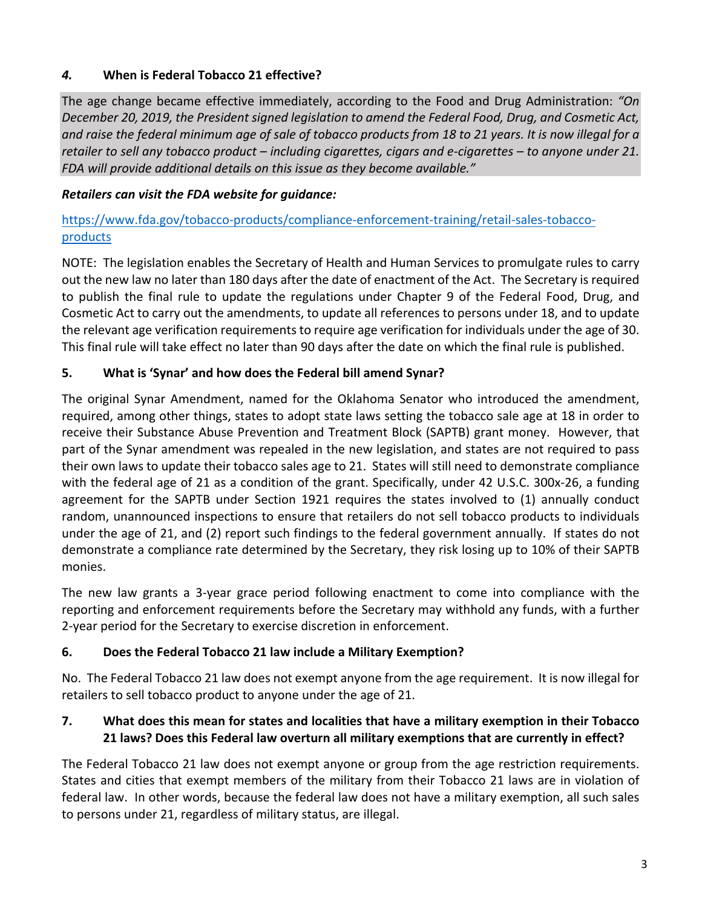# *4.* **When is Federal Tobacco 21 effective?**

The age change became effective immediately, according to the Food and Drug Administration: *"On December 20, 2019, the President signed legislation to amend the Federal Food, Drug, and Cosmetic Act, and raise the federal minimum age of sale of tobacco products from 18 to 21 years. It is now illegal for a retailer to sell any tobacco product – including cigarettes, cigars and e-cigarettes – to anyone under 21. FDA will provide additional details on this issue as they become available."*

# *Retailers can visit the FDA website for guidance:*

# https://www.fda.gov/tobacco-products/compliance-enforcement-training/retail-sales-tobaccoproducts

NOTE: The legislation enables the Secretary of Health and Human Services to promulgate rules to carry out the new law no later than 180 days after the date of enactment of the Act. The Secretary is required to publish the final rule to update the regulations under Chapter 9 of the Federal Food, Drug, and Cosmetic Act to carry out the amendments, to update all references to persons under 18, and to update the relevant age verification requirements to require age verification for individuals under the age of 30. This final rule will take effect no later than 90 days after the date on which the final rule is published.

# **5. What is 'Synar' and how does the Federal bill amend Synar?**

The original Synar Amendment, named for the Oklahoma Senator who introduced the amendment, required, among other things, states to adopt state laws setting the tobacco sale age at 18 in order to receive their Substance Abuse Prevention and Treatment Block (SAPTB) grant money. However, that part of the Synar amendment was repealed in the new legislation, and states are not required to pass their own laws to update their tobacco sales age to 21. States will still need to demonstrate compliance with the federal age of 21 as a condition of the grant. Specifically, under 42 U.S.C. 300x-26, a funding agreement for the SAPTB under Section 1921 requires the states involved to (1) annually conduct random, unannounced inspections to ensure that retailers do not sell tobacco products to individuals under the age of 21, and (2) report such findings to the federal government annually. If states do not demonstrate a compliance rate determined by the Secretary, they risk losing up to 10% of their SAPTB monies.

The new law grants a 3-year grace period following enactment to come into compliance with the reporting and enforcement requirements before the Secretary may withhold any funds, with a further 2-year period for the Secretary to exercise discretion in enforcement.

# **6. Does the Federal Tobacco 21 law include a Military Exemption?**

No. The Federal Tobacco 21 law does not exempt anyone from the age requirement. It is now illegal for retailers to sell tobacco product to anyone under the age of 21.

# **7. What does this mean for states and localities that have a military exemption in their Tobacco 21 laws? Does this Federal law overturn all military exemptions that are currently in effect?**

The Federal Tobacco 21 law does not exempt anyone or group from the age restriction requirements. States and cities that exempt members of the military from their Tobacco 21 laws are in violation of federal law. In other words, because the federal law does not have a military exemption, all such sales to persons under 21, regardless of military status, are illegal.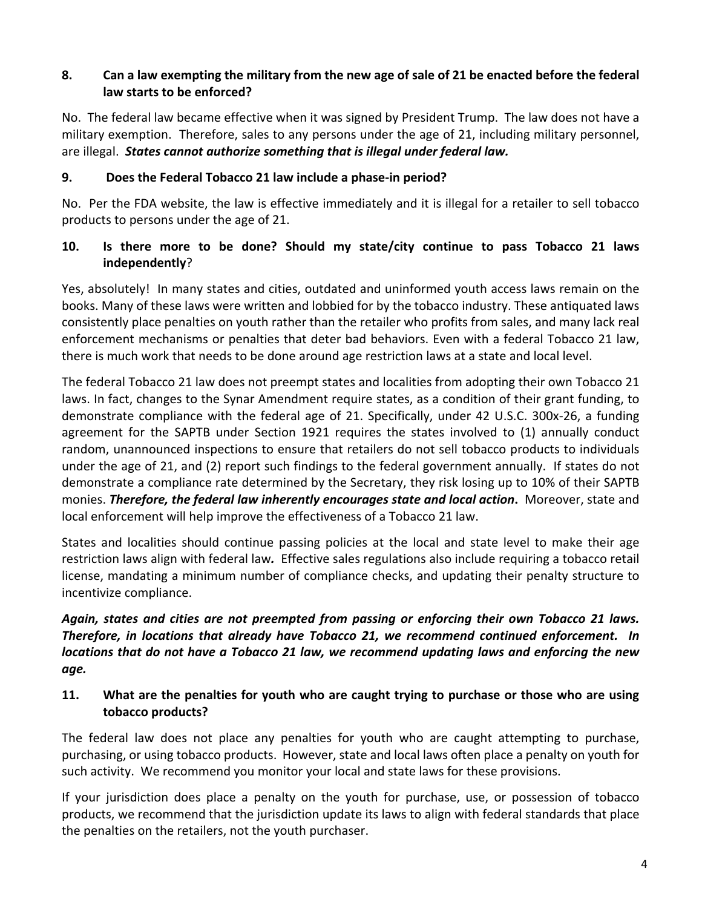## **8. Can a law exempting the military from the new age of sale of 21 be enacted before the federal law starts to be enforced?**

No. The federal law became effective when it was signed by President Trump. The law does not have a military exemption. Therefore, sales to any persons under the age of 21, including military personnel, are illegal. *States cannot authorize something that is illegal under federal law.*

### **9. Does the Federal Tobacco 21 law include a phase-in period?**

No. Per the FDA website, the law is effective immediately and it is illegal for a retailer to sell tobacco products to persons under the age of 21.

### **10. Is there more to be done? Should my state/city continue to pass Tobacco 21 laws independently**?

Yes, absolutely! In many states and cities, outdated and uninformed youth access laws remain on the books. Many of these laws were written and lobbied for by the tobacco industry. These antiquated laws consistently place penalties on youth rather than the retailer who profits from sales, and many lack real enforcement mechanisms or penalties that deter bad behaviors. Even with a federal Tobacco 21 law, there is much work that needs to be done around age restriction laws at a state and local level.

The federal Tobacco 21 law does not preempt states and localities from adopting their own Tobacco 21 laws. In fact, changes to the Synar Amendment require states, as a condition of their grant funding, to demonstrate compliance with the federal age of 21. Specifically, under 42 U.S.C. 300x-26, a funding agreement for the SAPTB under Section 1921 requires the states involved to (1) annually conduct random, unannounced inspections to ensure that retailers do not sell tobacco products to individuals under the age of 21, and (2) report such findings to the federal government annually. If states do not demonstrate a compliance rate determined by the Secretary, they risk losing up to 10% of their SAPTB monies. *Therefore, the federal law inherently encourages state and local action***.** Moreover, state and local enforcement will help improve the effectiveness of a Tobacco 21 law.

States and localities should continue passing policies at the local and state level to make their age restriction laws align with federal law*.* Effective sales regulations also include requiring a tobacco retail license, mandating a minimum number of compliance checks, and updating their penalty structure to incentivize compliance.

*Again, states and cities are not preempted from passing or enforcing their own Tobacco 21 laws. Therefore, in locations that already have Tobacco 21, we recommend continued enforcement. In locations that do not have a Tobacco 21 law, we recommend updating laws and enforcing the new age.*

### **11. What are the penalties for youth who are caught trying to purchase or those who are using tobacco products?**

The federal law does not place any penalties for youth who are caught attempting to purchase, purchasing, or using tobacco products. However, state and local laws often place a penalty on youth for such activity. We recommend you monitor your local and state laws for these provisions.

If your jurisdiction does place a penalty on the youth for purchase, use, or possession of tobacco products, we recommend that the jurisdiction update its laws to align with federal standards that place the penalties on the retailers, not the youth purchaser.